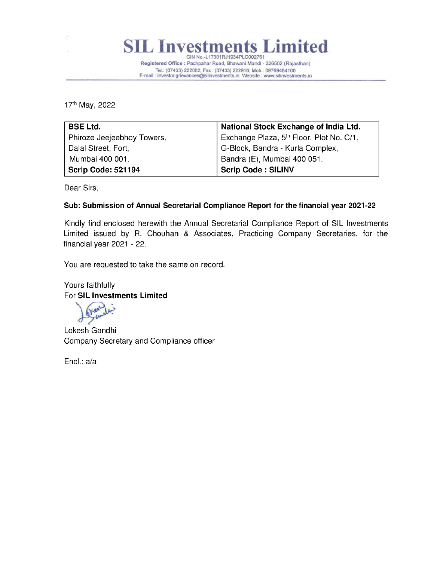

Registered Office : Pachpahar Road, Bhawani Mandi - 326502 (Rajasthan) Tel.: (07433) 222082; Fax : (07433) 222916; Mob.: 09769484106 E-mail : investor.grievances@silinvestments.in; Website : www.silinvestments.in

17<sup>th</sup> May, 2022

| <b>BSE Ltd.</b>            | National Stock Exchange of India Ltd.                |
|----------------------------|------------------------------------------------------|
| Phiroze Jeejeebhoy Towers, | Exchange Plaza, 5 <sup>th</sup> Floor, Plot No. C/1, |
| Dalal Street, Fort,        | G-Block, Bandra - Kurla Complex,                     |
| Mumbai 400 001.            | Bandra (E), Mumbai 400 051.                          |
| Scrip Code: 521194         | <b>Scrip Code: SILINV</b>                            |

Dear Sirs,

## Sub: Submission of Annual Secretarial Compliance Report for the financial year 2021-22

Kindly find enclosed herewith the Annual Secretarial Compliance Report of SIL Investments Limited issued by R. Chouhan & Associates, Practicing Company Secretaries, for the financial year 2021 - 22.

You are requested to take the same on record.

Yours faithfully For SIL Investments Limited

 $\sqrt{2}$ er yer ae

Lokesh Gandhi Company Secretary and Compliance officer

Encl.: a/a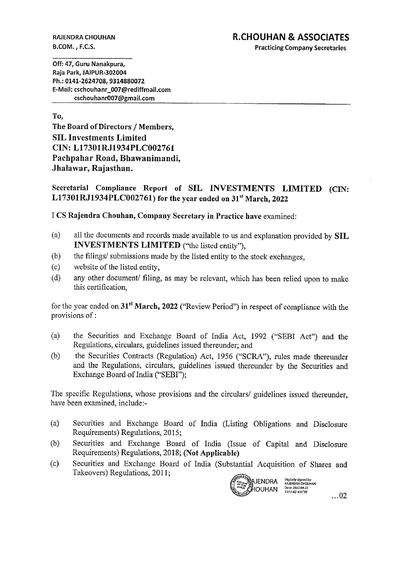## RAJENDRA CHOUHAN RAJENDRA CHOUHAN **R.CHOUHAN & ASSOCIATES**

B.COM., F.C.S. Practicing Company Secretaries

Off: 47, Guru Nanakpura, Raja Park, JAIPUR-302004 Ph.: 0141-2624708, 9314880072 E-Mail: cschouhanr\_007 @rediffmail.com RAJENDRA CHOUHAN<br>B.COM. , F.C.S.<br>Off: 47, Guru Nanakpura,<br>Raja Park, JAIPUR-302004<br>Ph.: 0141-2624708, 9314880072<br>E-Mail: cschouhanr\_007@rediffmail.com<br>cschouhanr007@gmail.com cschouhanr007@gmail.com

To,

The Board of Directors / Members, SIL Investments Limited CIN: L17301RJ1934PLC002761 Pachpahar Road, Bhawanimandi, Jhalawar, Rajasthan.

Secretarial Compliance Report of SIL INVESTMENTS LIMITED (CIN:  $L17301RJ1934PLC002761$  for the year ended on 31<sup>st</sup> March, 2022

1 CS Rajendra Chouhan, Company Secretary in Practice have examined:

- (a) all the documents and records made available to us and explanation provided by SIL INVESTMENTS LIMITED ("the listed entity"),
- (b) the filings/ submissions made by the listed entity to the stock exchanges,
- $(c)$ website of the listed entity,
- (d) any other document/ filing, as may be relevant, which has been relied upon to make this certification,

for the year ended on  $31^{st}$  March, 2022 ("Review Period") in respect of compliance with the provisions of :

- (a) the Securities and Exchange Board of India Act, 1992 ("SEBI Act") and the Regulations, circulars, guidelines issued thereunder; and
- (b) the Securities Contracts (Regulation) Act, 1956 ("SCRA"), rules made thereunder and the Regulations, circulars, guidelines issued thereunder by the Securities and Exchange Board of India ("SEBI");

The specific Regulations, whose provisions and the circulars/ guidelines issued thereunder, have been examined, include:-

- (a) Securities and Exchange Board of India (Listing Obligations and Disclosure Requirements) Regulations, 2015;
- (b) Securities and Exchange Board of India (Issue of Capital and Disclosure Requirements) Regulations, 2018; (Not Applicable)
- (c) Securities and Exchange Board of India (Substantial Acquisition of Shares and Takeovers) Regulations, 2011;



 $\dots$ 02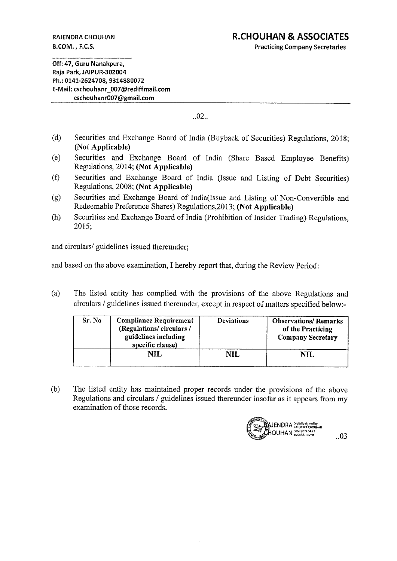**RAJENDRA CHOUHAN** B.COM., F.C.S.

**Practicing Company Secretaries** 

Off: 47. Guru Nanakpura. Raia Park. JAIPUR-302004 Ph.: 0141-2624708. 9314880072 E-Mail: cschouhanr 007@rediffmail.com cschouhanr007@gmail.com

 $.02...$ 

- $(d)$ Securities and Exchange Board of India (Buyback of Securities) Regulations, 2018: (Not Applicable)
- Securities and Exchange Board of India (Share Based Employee Benefits)  $(e)$ Regulations, 2014; (Not Applicable)
- Securities and Exchange Board of India (Issue and Listing of Debt Securities)  $(f)$ Regulations, 2008; (Not Applicable)
- Securities and Exchange Board of India(Issue and Listing of Non-Convertible and  $(g)$ Redeemable Preference Shares) Regulations, 2013; (Not Applicable)
- Securities and Exchange Board of India (Prohibition of Insider Trading) Regulations,  $(h)$ 2015;

and circulars/ guidelines issued thereunder:

and based on the above examination, I hereby report that, during the Review Period:

 $(a)$ The listed entity has complied with the provisions of the above Regulations and circulars / guidelines issued thereunder, except in respect of matters specified below:-

| Sr. No | <b>Compliance Requirement</b><br>(Regulations/circulars/<br>guidelines including<br>specific clause) | <b>Deviations</b> | <b>Observations/Remarks</b><br>of the Practicing<br><b>Company Secretary</b> |
|--------|------------------------------------------------------------------------------------------------------|-------------------|------------------------------------------------------------------------------|
|        | NH.                                                                                                  | $\bf NIL$         | $\rm NII$                                                                    |

The listed entity has maintained proper records under the provisions of the above  $(b)$ Regulations and circulars / guidelines issued thereunder insofar as it appears from my examination of those records.

JENDRA Digitally signed b<br>|OUHAN Date: 2022.04.22<br>|OUHAN Date: 2022.04.22

 $.03$